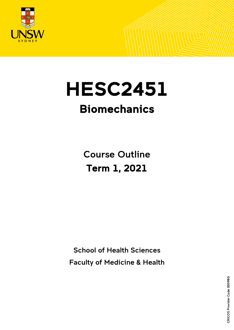

# **HESC2451**

## Biomechanics

Course Outline Term 1, 2021

School of Health Sciences Faculty of Medicine & Health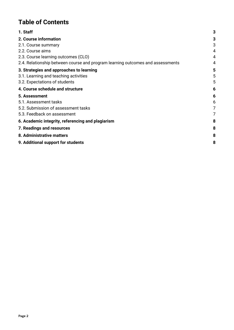## **Table of Contents**

| 1. Staff                                                                       | 3 |
|--------------------------------------------------------------------------------|---|
| 2. Course information                                                          | 3 |
| 2.1. Course summary                                                            | 3 |
| 2.2. Course aims                                                               | 4 |
| 2.3. Course learning outcomes (CLO)                                            | 4 |
| 2.4. Relationship between course and program learning outcomes and assessments | 4 |
| 3. Strategies and approaches to learning                                       | 5 |
| 3.1. Learning and teaching activities                                          | 5 |
| 3.2. Expectations of students                                                  | 5 |
| 4. Course schedule and structure                                               | 6 |
| 5. Assessment                                                                  | 6 |
| 5.1. Assessment tasks                                                          | 6 |
| 5.2. Submission of assessment tasks                                            | 7 |
| 5.3. Feedback on assessment                                                    | 7 |
| 6. Academic integrity, referencing and plagiarism                              | 8 |
| 7. Readings and resources                                                      | 8 |
| 8. Administrative matters                                                      | 8 |
| 9. Additional support for students                                             | 8 |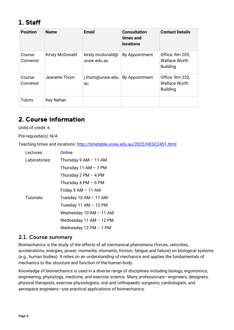## <span id="page-2-0"></span>1. Staff

| <b>Position</b>    | <b>Name</b>            | <b>Email</b>                    | <b>Consultation</b><br>times and<br><b>locations</b> | <b>Contact Details</b>                                     |
|--------------------|------------------------|---------------------------------|------------------------------------------------------|------------------------------------------------------------|
| Course<br>Convenor | <b>Kirsty McDonald</b> | kirsty.mcdonald@<br>unsw.edu.au | By Appointment                                       | Office: Rm 205,<br><b>Wallace Wurth</b><br><b>Building</b> |
| Course<br>Convenor | Jeanette Thom          | j.thom@unsw.edu.<br>au          | By Appointment                                       | Office: Rm 220,<br><b>Wallace Wurth</b><br><b>Building</b> |
| <b>Tutors</b>      | Key Nahan              |                                 |                                                      |                                                            |

## <span id="page-2-1"></span>2. Course information

Units of credit: 6

Pre-requisite(s): N/A

Teaching times and locations:<http://timetable.unsw.edu.au/2022/HESC2451.html>

| Lectures:     | Online                  |  |  |
|---------------|-------------------------|--|--|
| Laboratories: | Thursday 9 AM - 11 AM   |  |  |
|               | Thursday 11 AM $-$ 1 PM |  |  |
|               | Thursday 2 PM $-$ 4 PM  |  |  |
|               | Thursday 4 PM $-6$ PM   |  |  |
|               | Friday 9 AM - 11 AM     |  |  |
| Tutorials:    | Tuesday 10 AM - 11 AM   |  |  |
|               | Tuesday 11 AM - 12 PM   |  |  |
|               | Wednesday 10 AM - 11 AM |  |  |
|               | Wednesday 11 AM - 12 PM |  |  |
|               | Wednesday 12 PM - 1 PM  |  |  |

#### <span id="page-2-2"></span>2.1. Course summary

Biomechanics is the study of the effects of all mechanical phenomena (forces, velocities, accelerations, energies, power, momenta, moments, friction, fatigue and failure) on biological systems (e.g., human bodies). It relies on an understanding of mechanics and applies the fundamentals of mechanics to the structure and function of the human body.

Knowledge of biomechanics is used in a diverse range of disciplines including biology, ergonomics, engineering, physiology, medicine, and exercise science. Many professionals—engineers, designers, physical therapists, exercise physiologists, oral and orthopaedic surgeons, cardiologists, and aerospace engineers—use practical applications of biomechanics.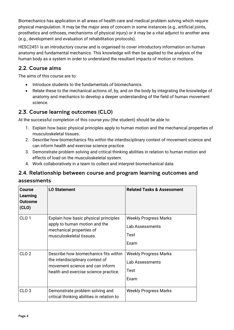Biomechanics has application in all areas of health care and medical problem solving which require physical manipulation. It may be the major area of concern in some instances (e.g., artificial joints, prosthetics and orthoses, mechanisms of physical injury) or it may be a vital adjunct to another area (e.g., development and evaluation of rehabilitation protocols).

HESC2451 is an introductory course and is organised to cover introductory information on human anatomy and fundamental mechanics. This knowledge will then be applied to the analysis of the human body as a system in order to understand the resultant impacts of motion or motions.

#### <span id="page-3-0"></span>2.2. Course aims

The aims of this course are to:

- Introduce students to the fundamentals of biomechanics.
- Relate these to the mechanical actions of, by, and on the body by integrating the knowledge of anatomy and mechanics to develop a deeper understanding of the field of human movement science.

### <span id="page-3-1"></span>2.3. Course learning outcomes (CLO)

At the successful completion of this course you (the student) should be able to:

- 1. Explain how basic physical principles apply to human motion and the mechanical properties of musculoskeletal tissues.
- 2. Describe how biomechanics fits within the interdisciplinary context of movement science and can inform health and exercise science practice.
- 3. Demonstrate problem solving and critical thinking abilities in relation to human motion and effects of load on the musculoskeletal system.
- 4. Work collaboratively in a team to collect and interpret biomechanical data.

## <span id="page-3-2"></span>2.4. Relationship between course and program learning outcomes and

#### assessments

| Course<br>Learning<br><b>Outcome</b><br>(CLO) | <b>LO Statement</b>                                                                                                                                   | <b>Related Tasks &amp; Assessment</b>                           |
|-----------------------------------------------|-------------------------------------------------------------------------------------------------------------------------------------------------------|-----------------------------------------------------------------|
| CLO <sub>1</sub>                              | Explain how basic physical principles<br>apply to human motion and the<br>mechanical properties of<br>musculoskeletal tissues.                        | <b>Weekly Progress Marks</b><br>Lab Assessments<br>Test<br>Exam |
| CLO <sub>2</sub>                              | Describe how biomechanics fits within<br>the interdisciplinary context of<br>movement science and can inform<br>health and exercise science practice. | <b>Weekly Progress Marks</b><br>Lab Assessments<br>Test<br>Exam |
| CLO <sub>3</sub>                              | Demonstrate problem solving and<br>critical thinking abilities in relation to                                                                         | Weekly Progress Marks                                           |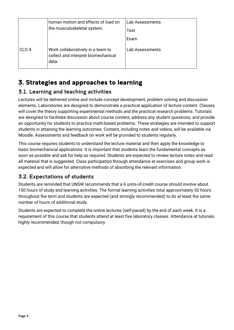|                  | human motion and effects of load on<br>the musculoskeletal system.                | <b>Lab Assessments</b><br>Test<br>Exam |
|------------------|-----------------------------------------------------------------------------------|----------------------------------------|
| CLO <sub>4</sub> | Work collaboratively in a team to<br>collect and interpret biomechanical<br>data. | Lab Assessments                        |

## <span id="page-4-0"></span>3. Strategies and approaches to learning

#### <span id="page-4-1"></span>3.1. Learning and teaching activities

Lectures will be delivered online and include concept development, problem solving and discussion elements. Laboratories are designed to demonstrate a practical application of lecture content. Classes will cover the theory supporting experimental methods and the practical research problems. Tutorials are designed to facilitate discussion about course content, address any student questions, and provide an opportunity for students to practice math-based problems. These strategies are intended to support students in attaining the learning outcomes. Content, including notes and videos, will be available via Moodle. Assessments and feedback on work will be provided to students regularly.

This course requires students to understand the lecture material and then apply the knowledge to basic biomechanical applications. It is important that students learn the fundamental concepts as soon as possible and ask for help as required. Students are expected to review lecture notes and read all material that is suggested. Class participation through attendance at exercises and group work is expected and will allow for alternative methods of absorbing the relevant information.

#### <span id="page-4-2"></span>3.2. Expectations of students

Students are reminded that UNSW recommends that a 6 units-of-credit course should involve about 150 hours of study and learning activities. The formal learning activities total approximately 50 hours throughout the term and students are expected (and strongly recommended) to do at least the same number of hours of additional study.

Students are expected to complete the online lectures (self-paced) by the end of each week. It is a requirement of this course that students attend at least five laboratory classes. Attendance at tutorials highly recommended, though not compulsory.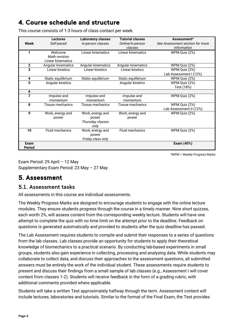## <span id="page-5-0"></span>4. Course schedule and structure

This course consists of 1-3 hours of class contact per week.

|                | <b>Lectures</b>        | <b>Laboratory classes</b> | <b>Tutorial classes</b> | Assessment*                     |
|----------------|------------------------|---------------------------|-------------------------|---------------------------------|
| Week           | Self-paced             | In-person classes         | Online/in-person        | See Assessment section for more |
|                |                        |                           | classes                 | information                     |
| 1              | Welcome                | Linear kinematics         | Linear kinematics       | WPM Quiz (2%)                   |
|                | Math revision          |                           |                         |                                 |
|                | Linear kinematics      |                           |                         |                                 |
| $\overline{2}$ | Angular kinematics     | Angular kinematics        | Angular kinematics      | WPM Quiz (2%)                   |
| 3              | Linear kinetics        | Linear kinetics           | Linear kinetics         | WPM Quiz (2%)                   |
|                |                        |                           |                         | Lab Assessment I (12%)          |
| 4              | Static equilibrium     | Static equilibrium        | Static equilibrium      | WPM Quiz (2%)                   |
| 5              | Angular kinetics       |                           | Angular kinetics        | WPM Quiz (2%)                   |
|                |                        |                           |                         | Test (18%)                      |
| 6              |                        |                           |                         |                                 |
| 7              | Impulse and            | Impulse and               | Impulse and             | WPM Quiz (2%)                   |
|                | momentum               | momentum                  | momentum                |                                 |
| 8              | Tissue mechanics       | Tissue mechanics          | Tissue mechanics        | WPM Quiz (2%)                   |
|                |                        |                           |                         | Lab Assessment II (12%)         |
| 9              | Work, energy and       | Work, energy and          | Work, energy and        | WPM Quiz (2%)                   |
|                | power                  | power                     | power                   |                                 |
|                |                        | Thursday classes          |                         |                                 |
|                |                        | only                      |                         |                                 |
| 10             | <b>Fluid mechanics</b> | Work, energy and          | <b>Fluid mechanics</b>  | WPM Quiz (2%)                   |
|                |                        | power                     |                         |                                 |
|                |                        | Friday class only         |                         |                                 |
| Exam           |                        |                           |                         | Exam (40%)                      |
| <b>Period</b>  |                        |                           |                         |                                 |

\*WPM = Weekly Progress Marks

Exam Period: 29 April – 12 May Supplementary Exam Period: 23 May – 27 May

## <span id="page-5-1"></span>5. Assessment

#### <span id="page-5-2"></span>5.1. Assessment tasks

All assessments in this course are individual assessments.

The Weekly Progress Marks are designed to encourage students to engage with the online lecture modules. They ensure students progress through the course in a timely manner. Nine short quizzes, each worth 2%, will assess content from the corresponding weekly lecture. Students will have one attempt to complete the quiz with no time limit on the attempt prior to the deadline. Feedback on questions is generated automatically and provided to students after the quiz deadline has passed.

The Lab Assessment requires students to compile and submit their responses to a series of questions from the lab classes. Lab classes provide an opportunity for students to apply their theoretical knowledge of biomechanics to a practical scenario. By conducting lab-based experiments in small groups, students also gain experience in collecting, processing and analysing data. While students may collaborate to collect data, and discuss their approaches to the assessment questions, all submitted answers must be entirely the work of the individual student. These assessments require students to present and discuss their findings from a small sample of lab classes (e.g., Assessment I will cover content from classes 1-2). Students will receive feedback in the form of a grading rubric, with additional comments provided where applicable.

Students will take a written Test approximately halfway through the term. Assessment content will include lectures, laboratories and tutorials. Similar to the format of the Final Exam, the Test provides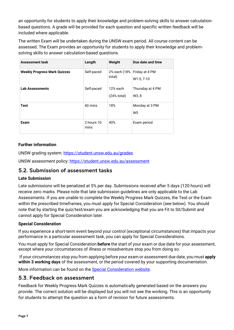an opportunity for students to apply their knowledge and problem-solving skills to answer calculationbased questions. A grade will be provided for each question and specific written feedback will be included where applicable.

The written Exam will be undertaken during the UNSW exam period. All course content can be assessed. The Exam provides an opportunity for students to apply their knowledge and problemsolving skills to answer calculation-based questions.

| <b>Assessment task</b>              | Length             | Weight                            | Due date and time                |
|-------------------------------------|--------------------|-----------------------------------|----------------------------------|
| <b>Weekly Progress Mark Quizzes</b> | Self-paced         | 2% each (18%  <br>total)          | Friday at 4 PM<br>W1-5, 7-10     |
| Lab Assessments                     | Self-paced         | 12% each<br>$(24% \text{ total})$ | Thursday at 4 PM<br>W3.8         |
| Test                                | 60 mins            | 18%                               | Monday at 3 PM<br>W <sub>5</sub> |
| Exam                                | 2 hours 10<br>mins | 40%                               | Exam period                      |

#### **Further information**

UNSW grading system:<https://student.unsw.edu.au/grades>

UNSW assessment policy:<https://student.unsw.edu.au/assessment>

#### <span id="page-6-0"></span>5.2. Submission of assessment tasks

#### **Late Submission**

Late submissions will be penalized at 5% per day. Submissions received after 5 days (120 hours) will receive zero marks. Please note that late submission guidelines are only applicable to the Lab Assessments. If you are unable to complete the Weekly Progress Mark Quizzes, the Test or the Exam within the prescribed timeframes, you must apply for Special Consideration (see below). You should note that by starting the quiz/test/exam you are acknowledging that you are Fit to Sit/Submit and cannot apply for Special Consideration later.

#### **Special Consideration**

If you experience a short-term event beyond your control (exceptional circumstances) that impacts your performance in a particular assessment task, you can apply for Special Considerations.

You must apply for Special Consideration **before** the start of your exam or due date for your assessment, except where your circumstances of illness or misadventure stop you from doing so.

If your circumstances stop you from applying before your exam or assessment due date, you must **apply within 3 working days** of the assessment, or the period covered by your supporting documentation.

More information can be found on the [Special Consideration website.](https://www.student.unsw.edu.au/special-consideration)

#### <span id="page-6-1"></span>5.3. Feedback on assessment

Feedback for Weekly Progress Mark Quizzes is automatically generated based on the answers you provide. The correct solution will be displayed but you will not see the working. This is an opportunity for students to attempt the question as a form of revision for future assessments.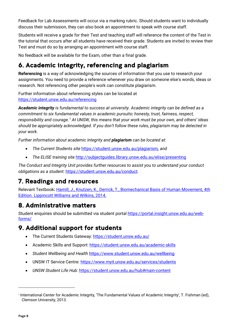Feedback for Lab Assessments will occur via a marking rubric. Should students want to individually discuss their submission, they can also book an appointment to speak with course staff.

Students will receive a grade for their Test and teaching staff will reference the content of the Test in the tutorial that occurs after all students have received their grade. Students are invited to review their Test and must do so by arranging an appointment with course staff.

No feedback will be available for the Exam, other than a final grade.

## <span id="page-7-0"></span>6. Academic integrity, referencing and plagiarism

**Referencing** is a way of acknowledging the sources of information that you use to research your assignments. You need to provide a reference whenever you draw on someone else's words, ideas or research. Not referencing other people's work can constitute plagiarism.

Further information about referencing styles can be located at <https://student.unsw.edu.au/referencing>

*Academic integrity is fundamental to success at university. Academic integrity can be defined as a commitment to six fundamental values in academic pursuits: honesty, trust, fairness, respect, responsibility and courage.*[1](#page-7-4) *At UNSW, this means that your work must be your own, and others' ideas should be appropriately acknowledged. If you don't follow these rules, plagiarism may be detected in your work.* 

*Further information about academic integrity and plagiarism can be located at:*

- *The Current Students site* <https://student.unsw.edu.au/plagiarism>*, and*
- *The ELISE training site* <http://subjectguides.library.unsw.edu.au/elise/presenting>

*The Conduct and Integrity Unit provides further resources to assist you to understand your conduct obligations as a student:* <https://student.unsw.edu.au/conduct>*.*

## <span id="page-7-1"></span>7. Readings and resources

Relevant Textbook**:** [Hamill, J., Knutzen, K., Derrick, T., Biomechanical Basis of Human Movement, 4th](https://www.bookshop.unsw.edu.au/details.cgi?ITEMNO=9781451177305)  [Edition. Lippincott Williams and Wilkins, 2014.](https://www.bookshop.unsw.edu.au/details.cgi?ITEMNO=9781451177305)

## <span id="page-7-2"></span>8. Administrative matters

Student enquiries should be submitted via student portal [https://portal.insight.unsw.edu.au/web](https://portal.insight.unsw.edu.au/web-forms/)[forms/](https://portal.insight.unsw.edu.au/web-forms/)

## <span id="page-7-3"></span>9. Additional support for students

- The Current Students Gateway:<https://student.unsw.edu.au/>
- Academic Skills and Support:<https://student.unsw.edu.au/academic-skills>
- *Student Wellbeing and Health* <https://www.student.unsw.edu.au/wellbeing>
- UNSW IT Service Centre:<https://www.myit.unsw.edu.au/services/students>
- *UNSW Student Life Hub:* <https://student.unsw.edu.au/hub#main-content>

<span id="page-7-4"></span><sup>1</sup> International Center for Academic Integrity, 'The Fundamental Values of Academic Integrity', T. Fishman (ed), Clemson University, 2013.